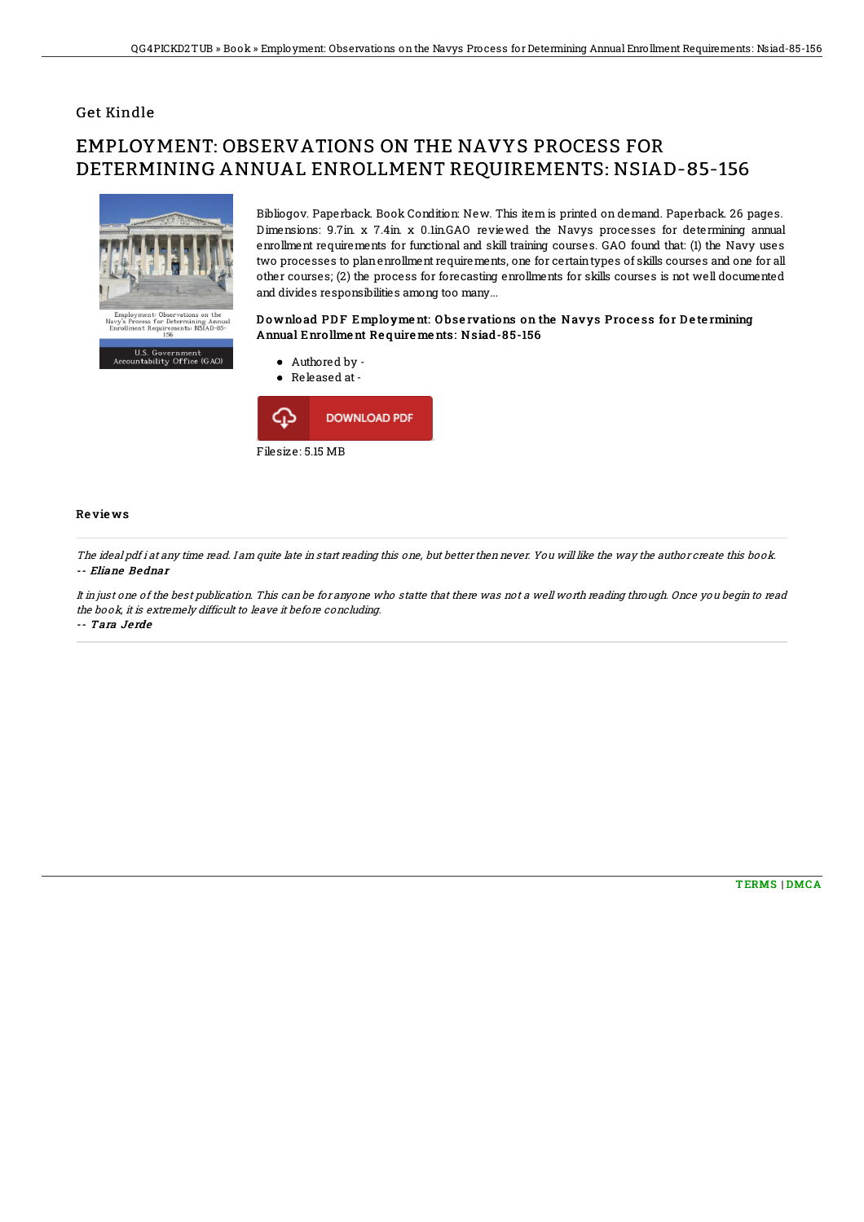## Get Kindle

# EMPLOYMENT: OBSERVATIONS ON THE NAVYS PROCESS FOR DETERMINING ANNUAL ENROLLMENT REQUIREMENTS: NSIAD-85-156



U.S. Government<br>untability Office (GAO)

Bibliogov. Paperback. Book Condition: New. This item is printed on demand. Paperback. 26 pages. Dimensions: 9.7in. x 7.4in. x 0.1in.GAO reviewed the Navys processes for determining annual enrollment requirements for functional and skill training courses. GAO found that: (1) the Navy uses two processes to planenrollment requirements, one for certaintypes of skills courses and one for all other courses; (2) the process for forecasting enrollments for skills courses is not well documented and divides responsibilities among too many...

### Download PDF Employment: Observations on the Navys Process for Determining Annual Enro llme nt Re quire me nts: Nsiad-8 5-156



#### Re vie ws

The ideal pdf i at any time read. I am quite late in start reading this one, but better then never. You will like the way the author create this book. -- Eliane Bednar

It in just one of the best publication. This can be for anyone who statte that there was not <sup>a</sup> well worth reading through. Once you begin to read the book, it is extremely difficult to leave it before concluding. -- Tara Je rde